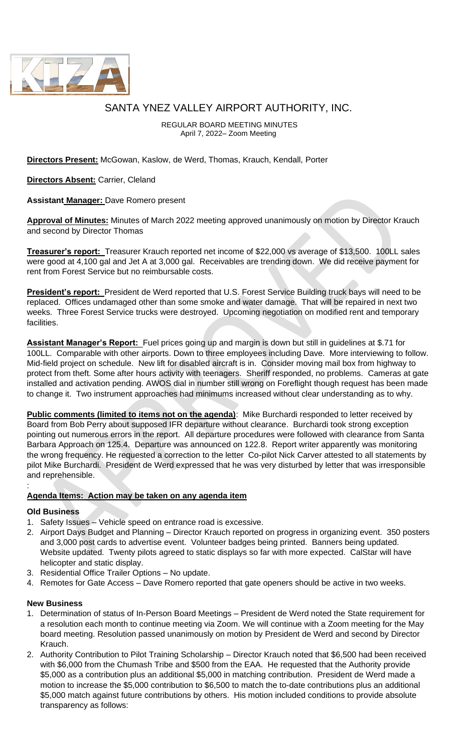

# SANTA YNEZ VALLEY AIRPORT AUTHORITY, INC.

REGULAR BOARD MEETING MINUTES April 7, 2022– Zoom Meeting

**Directors Present:** McGowan, Kaslow, de Werd, Thomas, Krauch, Kendall, Porter

**Directors Absent:** Carrier, Cleland

**Assistant Manager:** Dave Romero present

**Approval of Minutes:** Minutes of March 2022 meeting approved unanimously on motion by Director Krauch and second by Director Thomas

**Treasurer's report:** Treasurer Krauch reported net income of \$22,000 vs average of \$13,500. 100LL sales were good at 4,100 gal and Jet A at 3,000 gal. Receivables are trending down. We did receive payment for rent from Forest Service but no reimbursable costs.

**President's report:** President de Werd reported that U.S. Forest Service Building truck bays will need to be replaced. Offices undamaged other than some smoke and water damage. That will be repaired in next two weeks. Three Forest Service trucks were destroyed. Upcoming negotiation on modified rent and temporary facilities.

**Assistant Manager's Report:** Fuel prices going up and margin is down but still in guidelines at \$.71 for 100LL. Comparable with other airports. Down to three employees including Dave. More interviewing to follow. Mid-field project on schedule. New lift for disabled aircraft is in. Consider moving mail box from highway to protect from theft. Some after hours activity with teenagers. Sheriff responded, no problems. Cameras at gate installed and activation pending. AWOS dial in number still wrong on Foreflight though request has been made to change it. Two instrument approaches had minimums increased without clear understanding as to why.

**Public comments (limited to items not on the agenda)**: Mike Burchardi responded to letter received by Board from Bob Perry about supposed IFR departure without clearance. Burchardi took strong exception pointing out numerous errors in the report. All departure procedures were followed with clearance from Santa Barbara Approach on 125.4. Departure was announced on 122.8. Report writer apparently was monitoring the wrong frequency. He requested a correction to the letter Co-pilot Nick Carver attested to all statements by pilot Mike Burchardi. President de Werd expressed that he was very disturbed by letter that was irresponsible and reprehensible.

### **Agenda Items: Action may be taken on any agenda item**

## **Old Business**

:

- 1. Safety Issues Vehicle speed on entrance road is excessive.
- 2. Airport Days Budget and Planning Director Krauch reported on progress in organizing event. 350 posters and 3,000 post cards to advertise event. Volunteer badges being printed. Banners being updated. Website updated. Twenty pilots agreed to static displays so far with more expected. CalStar will have helicopter and static display.
- 3. Residential Office Trailer Options No update.
- 4. Remotes for Gate Access Dave Romero reported that gate openers should be active in two weeks.

### **New Business**

- 1. Determination of status of In-Person Board Meetings President de Werd noted the State requirement for a resolution each month to continue meeting via Zoom. We will continue with a Zoom meeting for the May board meeting. Resolution passed unanimously on motion by President de Werd and second by Director Krauch.
- 2. Authority Contribution to Pilot Training Scholarship Director Krauch noted that \$6,500 had been received with \$6,000 from the Chumash Tribe and \$500 from the EAA. He requested that the Authority provide \$5,000 as a contribution plus an additional \$5,000 in matching contribution. President de Werd made a motion to increase the \$5,000 contribution to \$6,500 to match the to-date contributions plus an additional \$5,000 match against future contributions by others. His motion included conditions to provide absolute transparency as follows: